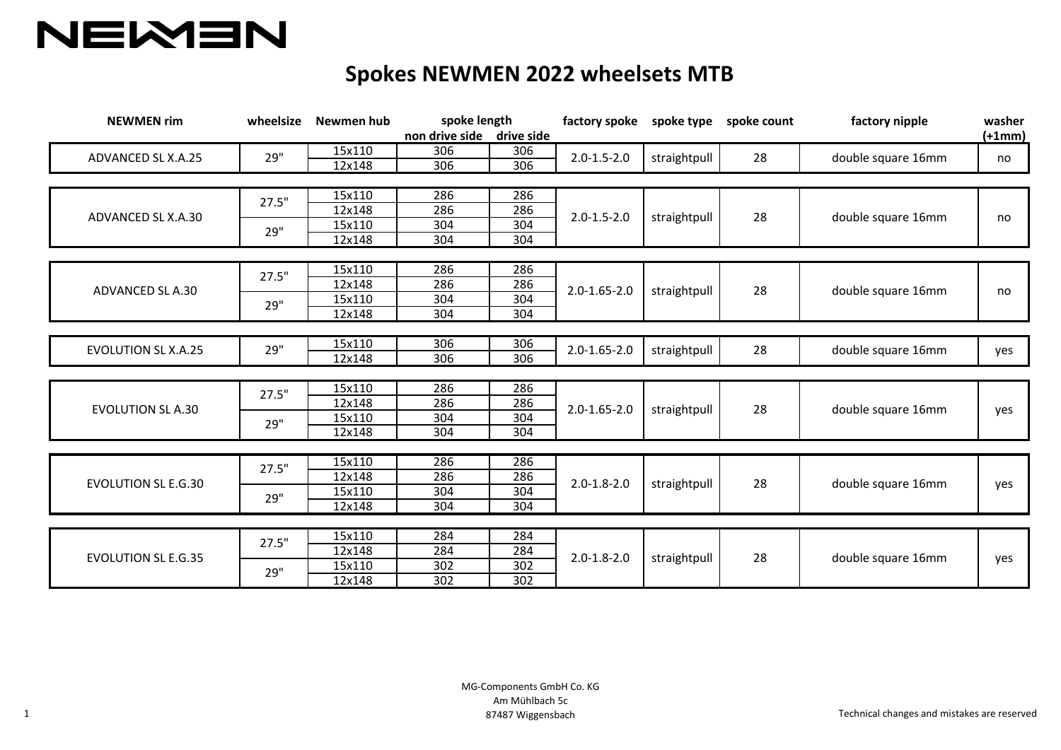

## **Spokes NEWMEN 2022 wheelsets MTB**

| <b>NEWMEN rim</b>          | wheelsize | Newmen hub | spoke length<br>non drive side drive side |     | factory spoke      |              | spoke type spoke count | factory nipple     | washer<br>$(+1mm)$ |
|----------------------------|-----------|------------|-------------------------------------------|-----|--------------------|--------------|------------------------|--------------------|--------------------|
| ADVANCED SL X.A.25         | 29"       | 15x110     | 306                                       | 306 | $2.0 - 1.5 - 2.0$  | straightpull | 28                     | double square 16mm | no                 |
|                            |           | 12x148     | 306                                       | 306 |                    |              |                        |                    |                    |
|                            |           |            |                                           |     |                    |              |                        |                    |                    |
| ADVANCED SL X.A.30         | 27.5"     | 15x110     | 286                                       | 286 | $2.0 - 1.5 - 2.0$  | straightpull | 28                     | double square 16mm | no                 |
|                            |           | 12x148     | 286                                       | 286 |                    |              |                        |                    |                    |
|                            | 29"       | 15x110     | 304                                       | 304 |                    |              |                        |                    |                    |
|                            |           | 12x148     | 304                                       | 304 |                    |              |                        |                    |                    |
|                            |           |            |                                           |     |                    |              |                        |                    |                    |
| ADVANCED SL A.30           | 27.5"     | 15x110     | 286                                       | 286 | $2.0 - 1.65 - 2.0$ | straightpull | 28                     | double square 16mm | no                 |
|                            |           | 12x148     | 286                                       | 286 |                    |              |                        |                    |                    |
|                            | 29"       | 15x110     | 304                                       | 304 |                    |              |                        |                    |                    |
|                            |           | 12x148     | 304                                       | 304 |                    |              |                        |                    |                    |
|                            |           |            |                                           |     |                    |              |                        |                    |                    |
| <b>EVOLUTION SL X.A.25</b> | 29"       | 15x110     | 306                                       | 306 | $2.0 - 1.65 - 2.0$ | straightpull | 28                     | double square 16mm | yes                |
|                            |           | 12x148     | 306                                       | 306 |                    |              |                        |                    |                    |
|                            |           |            |                                           |     |                    |              |                        |                    |                    |
|                            | 27.5"     | 15x110     | 286                                       | 286 | $2.0 - 1.65 - 2.0$ | straightpull | 28                     | double square 16mm | yes                |
| <b>EVOLUTION SL A.30</b>   |           | 12x148     | 286                                       | 286 |                    |              |                        |                    |                    |
|                            | 29"       | 15x110     | 304                                       | 304 |                    |              |                        |                    |                    |
|                            |           | 12x148     | 304                                       | 304 |                    |              |                        |                    |                    |
|                            |           |            |                                           |     |                    |              |                        |                    |                    |
| <b>EVOLUTION SL E.G.30</b> | 27.5"     | 15x110     | 286                                       | 286 | $2.0 - 1.8 - 2.0$  | straightpull | 28                     | double square 16mm | yes                |
|                            |           | 12x148     | 286                                       | 286 |                    |              |                        |                    |                    |
|                            | 29"       | 15x110     | 304                                       | 304 |                    |              |                        |                    |                    |
|                            |           | 12x148     | 304                                       | 304 |                    |              |                        |                    |                    |
|                            |           |            |                                           |     |                    |              |                        |                    |                    |
| <b>EVOLUTION SL E.G.35</b> | 27.5"     | 15x110     | 284                                       | 284 | $2.0 - 1.8 - 2.0$  | straightpull | 28                     | double square 16mm | yes                |
|                            |           | 12x148     | 284                                       | 284 |                    |              |                        |                    |                    |
|                            | 29"       | 15x110     | 302                                       | 302 |                    |              |                        |                    |                    |
|                            |           | 12x148     | 302                                       | 302 |                    |              |                        |                    |                    |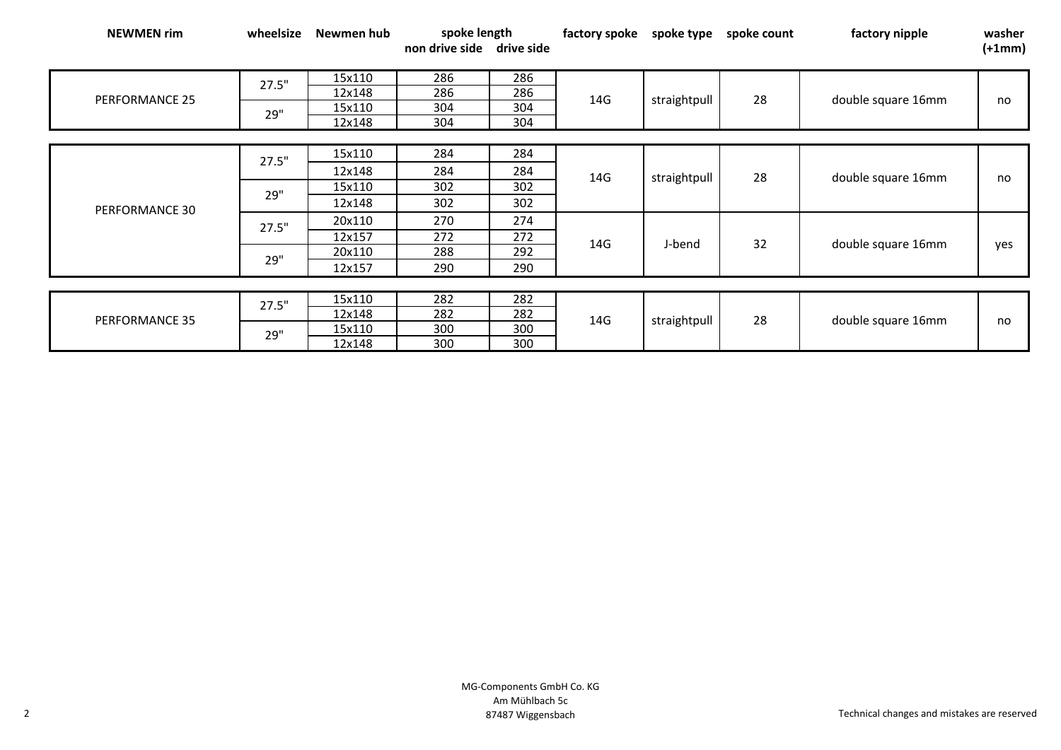| <b>NEWMEN rim</b> | wheelsize | Newmen hub | spoke length              |     | factory spoke | spoke type   | spoke count | factory nipple     | washer   |
|-------------------|-----------|------------|---------------------------|-----|---------------|--------------|-------------|--------------------|----------|
|                   |           |            | non drive side drive side |     |               |              |             |                    | $(+1mm)$ |
|                   |           | 15x110     | 286                       | 286 |               |              |             |                    |          |
| PERFORMANCE 25    | 27.5"     |            |                           |     | 14G           | straightpull | 28          | double square 16mm | no       |
|                   |           | 12x148     | 286                       | 286 |               |              |             |                    |          |
|                   | 29"       | 15x110     | 304                       | 304 |               |              |             |                    |          |
|                   |           | 12x148     | 304                       | 304 |               |              |             |                    |          |
|                   |           |            |                           |     |               |              |             |                    |          |
|                   | 27.5"     | 15x110     | 284                       | 284 | 14G           | straightpull | 28          | double square 16mm | no       |
|                   |           | 12x148     | 284                       | 284 |               |              |             |                    |          |
|                   | 29"       | 15x110     | 302                       | 302 |               |              |             |                    |          |
| PERFORMANCE 30    |           | 12x148     | 302                       | 302 |               |              |             |                    |          |
|                   | 27.5"     | 20x110     | 270                       | 274 | 14G           | J-bend       | 32          | double square 16mm | yes      |
|                   |           | 12x157     | 272                       | 272 |               |              |             |                    |          |
|                   | 29"       | 20x110     | 288                       | 292 |               |              |             |                    |          |
|                   |           | 12x157     | 290                       | 290 |               |              |             |                    |          |
|                   |           |            |                           |     |               |              |             |                    |          |
|                   | 27.5"     | 15x110     | 282                       | 282 | 14G           | straightpull | 28          | double square 16mm | no       |
| PERFORMANCE 35    |           | 12x148     | 282                       | 282 |               |              |             |                    |          |
|                   | 29"       | 15x110     | 300                       | 300 |               |              |             |                    |          |
|                   |           | 12x148     | 300                       | 300 |               |              |             |                    |          |